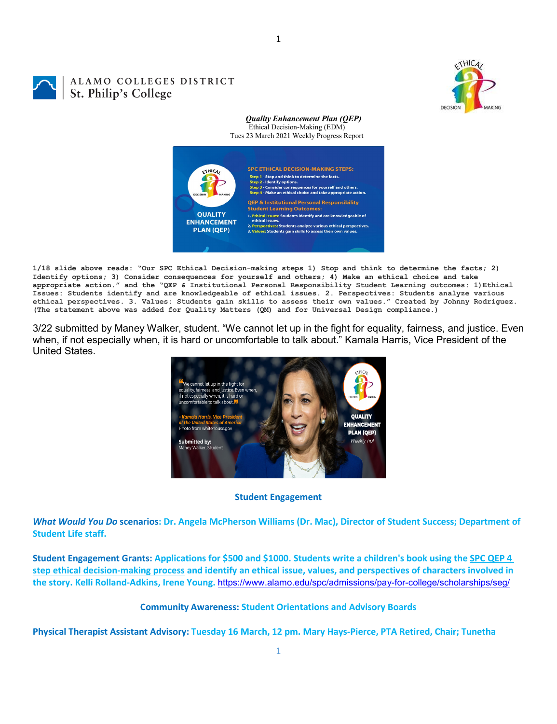

# ALAMO COLLEGES DISTRICT St. Philip's College

#### *Quality Enhancement Plan (QEP)* Ethical Decision-Making (EDM) Tues 23 March 2021 Weekly Progress Report



**1/18 slide above reads: "Our SPC Ethical Decision-making steps 1) Stop and think to determine the facts; 2) Identify options; 3) Consider consequences for yourself and others; 4) Make an ethical choice and take appropriate action." and the "QEP & Institutional Personal Responsibility Student Learning outcomes: 1)Ethical Issues: Students identify and are knowledgeable of ethical issues. 2. Perspectives: Students analyze various ethical perspectives. 3. Values: Students gain skills to assess their own values." Created by Johnny Rodriguez. (The statement above was added for Quality Matters (QM) and for Universal Design compliance.)**

3/22 submitted by Maney Walker, student. "We cannot let up in the fight for equality, fairness, and justice. Even when, if not especially when, it is hard or uncomfortable to talk about." Kamala Harris, Vice President of the United States.



#### **Student Engagement**

*What Would You Do* **scenarios: Dr. Angela McPherson Williams (Dr. Mac), Director of Student Success; Department of Student Life staff.**

**Student Engagement Grants: Applications for \$500 and \$1000. Students write a children's book using the [SPC QEP 4](https://mail.alamo.edu/owa/redir.aspx?REF=QPGGgOE-3HbbrbCAzqBFQWbtY3e2Gc0f0qSFld99-4hqZWSPr8DYCAFodHRwczovL3d3dy5hbGFtby5lZHUvbGluay8zYjg5NjQxMTY3MGY0YTZlYjU2MzNkNGFmNjE1OTBjNC5hc3B4)  [step ethical decision-making process](https://mail.alamo.edu/owa/redir.aspx?REF=QPGGgOE-3HbbrbCAzqBFQWbtY3e2Gc0f0qSFld99-4hqZWSPr8DYCAFodHRwczovL3d3dy5hbGFtby5lZHUvbGluay8zYjg5NjQxMTY3MGY0YTZlYjU2MzNkNGFmNjE1OTBjNC5hc3B4) and identify an ethical issue, values, and perspectives of characters involved in the story. Kelli Rolland-Adkins, Irene Young.** <https://www.alamo.edu/spc/admissions/pay-for-college/scholarships/seg/>

#### **Community Awareness: Student Orientations and Advisory Boards**

1

**Physical Therapist Assistant Advisory: Tuesday 16 March, 12 pm. Mary Hays-Pierce, PTA Retired, Chair; Tunetha**